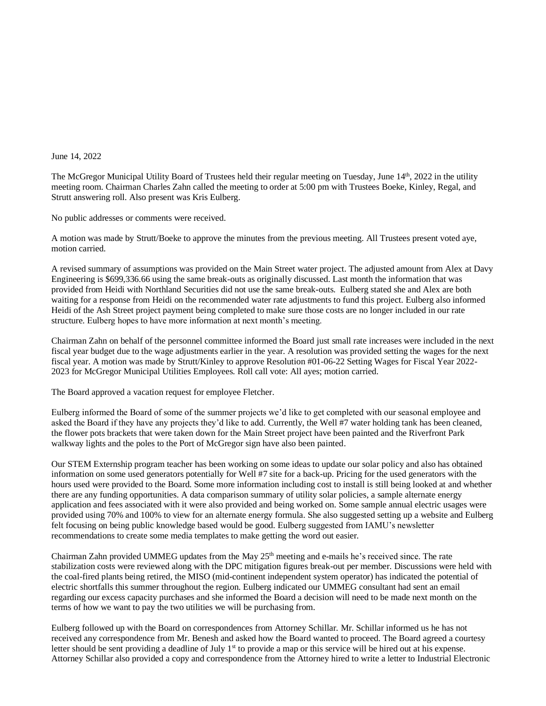## June 14, 2022

The McGregor Municipal Utility Board of Trustees held their regular meeting on Tuesday, June 14<sup>th</sup>, 2022 in the utility meeting room. Chairman Charles Zahn called the meeting to order at 5:00 pm with Trustees Boeke, Kinley, Regal, and Strutt answering roll. Also present was Kris Eulberg.

No public addresses or comments were received.

A motion was made by Strutt/Boeke to approve the minutes from the previous meeting. All Trustees present voted aye, motion carried.

A revised summary of assumptions was provided on the Main Street water project. The adjusted amount from Alex at Davy Engineering is \$699,336.66 using the same break-outs as originally discussed. Last month the information that was provided from Heidi with Northland Securities did not use the same break-outs. Eulberg stated she and Alex are both waiting for a response from Heidi on the recommended water rate adjustments to fund this project. Eulberg also informed Heidi of the Ash Street project payment being completed to make sure those costs are no longer included in our rate structure. Eulberg hopes to have more information at next month's meeting.

Chairman Zahn on behalf of the personnel committee informed the Board just small rate increases were included in the next fiscal year budget due to the wage adjustments earlier in the year. A resolution was provided setting the wages for the next fiscal year. A motion was made by Strutt/Kinley to approve Resolution #01-06-22 Setting Wages for Fiscal Year 2022- 2023 for McGregor Municipal Utilities Employees. Roll call vote: All ayes; motion carried.

The Board approved a vacation request for employee Fletcher.

Eulberg informed the Board of some of the summer projects we'd like to get completed with our seasonal employee and asked the Board if they have any projects they'd like to add. Currently, the Well #7 water holding tank has been cleaned, the flower pots brackets that were taken down for the Main Street project have been painted and the Riverfront Park walkway lights and the poles to the Port of McGregor sign have also been painted.

Our STEM Externship program teacher has been working on some ideas to update our solar policy and also has obtained information on some used generators potentially for Well #7 site for a back-up. Pricing for the used generators with the hours used were provided to the Board. Some more information including cost to install is still being looked at and whether there are any funding opportunities. A data comparison summary of utility solar policies, a sample alternate energy application and fees associated with it were also provided and being worked on. Some sample annual electric usages were provided using 70% and 100% to view for an alternate energy formula. She also suggested setting up a website and Eulberg felt focusing on being public knowledge based would be good. Eulberg suggested from IAMU's newsletter recommendations to create some media templates to make getting the word out easier.

Chairman Zahn provided UMMEG updates from the May  $25<sup>th</sup>$  meeting and e-mails he's received since. The rate stabilization costs were reviewed along with the DPC mitigation figures break-out per member. Discussions were held with the coal-fired plants being retired, the MISO (mid-continent independent system operator) has indicated the potential of electric shortfalls this summer throughout the region. Eulberg indicated our UMMEG consultant had sent an email regarding our excess capacity purchases and she informed the Board a decision will need to be made next month on the terms of how we want to pay the two utilities we will be purchasing from.

Eulberg followed up with the Board on correspondences from Attorney Schillar. Mr. Schillar informed us he has not received any correspondence from Mr. Benesh and asked how the Board wanted to proceed. The Board agreed a courtesy letter should be sent providing a deadline of July  $1<sup>st</sup>$  to provide a map or this service will be hired out at his expense. Attorney Schillar also provided a copy and correspondence from the Attorney hired to write a letter to Industrial Electronic